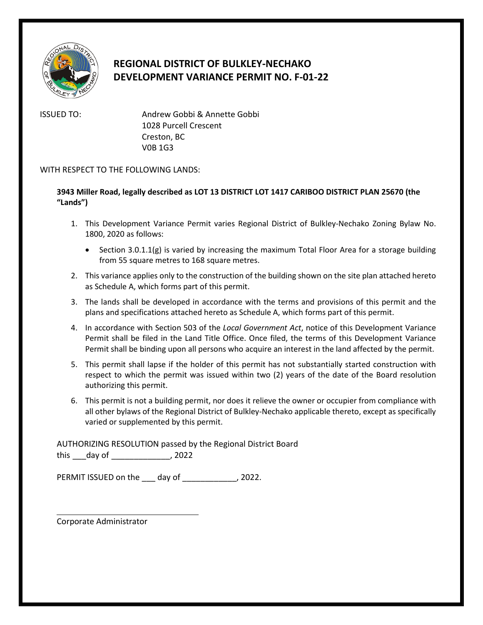

## **REGIONAL DISTRICT OF BULKLEY-NECHAKO DEVELOPMENT VARIANCE PERMIT NO. F-01-22**

ISSUED TO: Andrew Gobbi & Annette Gobbi 1028 Purcell Crescent Creston, BC V0B 1G3

## WITH RESPECT TO THE FOLLOWING LANDS:

## **3943 Miller Road, legally described as LOT 13 DISTRICT LOT 1417 CARIBOO DISTRICT PLAN 25670 (the "Lands")**

- 1. This Development Variance Permit varies Regional District of Bulkley-Nechako Zoning Bylaw No. 1800, 2020 as follows:
	- Section 3.0.1.1(g) is varied by increasing the maximum Total Floor Area for a storage building from 55 square metres to 168 square metres.
- 2. This variance applies only to the construction of the building shown on the site plan attached hereto as Schedule A, which forms part of this permit.
- 3. The lands shall be developed in accordance with the terms and provisions of this permit and the plans and specifications attached hereto as Schedule A, which forms part of this permit.
- 4. In accordance with Section 503 of the *Local Government Act*, notice of this Development Variance Permit shall be filed in the Land Title Office. Once filed, the terms of this Development Variance Permit shall be binding upon all persons who acquire an interest in the land affected by the permit.
- 5. This permit shall lapse if the holder of this permit has not substantially started construction with respect to which the permit was issued within two (2) years of the date of the Board resolution authorizing this permit.
- 6. This permit is not a building permit, nor does it relieve the owner or occupier from compliance with all other bylaws of the Regional District of Bulkley-Nechako applicable thereto, except as specifically varied or supplemented by this permit.

AUTHORIZING RESOLUTION passed by the Regional District Board this day of 2022

PERMIT ISSUED on the \_\_\_ day of \_\_\_\_\_\_\_\_\_\_\_\_, 2022.

Corporate Administrator